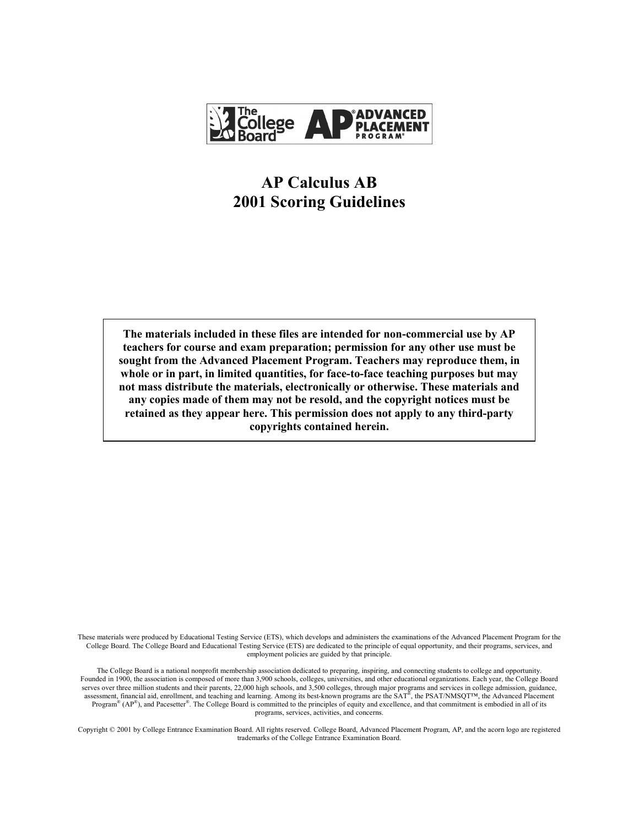

# **AP Calculus AB 2001 Scoring Guidelines**

**The materials included in these files are intended for non-commercial use by AP teachers for course and exam preparation; permission for any other use must be sought from the Advanced Placement Program. Teachers may reproduce them, in whole or in part, in limited quantities, for face-to-face teaching purposes but may not mass distribute the materials, electronically or otherwise. These materials and any copies made of them may not be resold, and the copyright notices must be retained as they appear here. This permission does not apply to any third-party copyrights contained herein.** 

These materials were produced by Educational Testing Service (ETS), which develops and administers the examinations of the Advanced Placement Program for the College Board. The College Board and Educational Testing Service (ETS) are dedicated to the principle of equal opportunity, and their programs, services, and employment policies are guided by that principle.

The College Board is a national nonprofit membership association dedicated to preparing, inspiring, and connecting students to college and opportunity. Founded in 1900, the association is composed of more than 3,900 schools, colleges, universities, and other educational organizations. Each year, the College Board serves over three million students and their parents, 22,000 high schools, and 3,500 colleges, through major programs and services in college admission, guidance, assessment, financial aid, enrollment, and teaching and learning. Among its best-known programs are the SAT®, the PSAT/NMSQT™, the Advanced Placement Program<sup>®</sup> ( $AP^$ <sup>®</sup>), and Pacesetter<sup>®</sup>. The College Board is committed to the principles of equity and excellence, and that commitment is embodied in all of its programs, services, activities, and concerns.

Copyright © 2001 by College Entrance Examination Board. All rights reserved. College Board, Advanced Placement Program, AP, and the acorn logo are registered trademarks of the College Entrance Examination Board.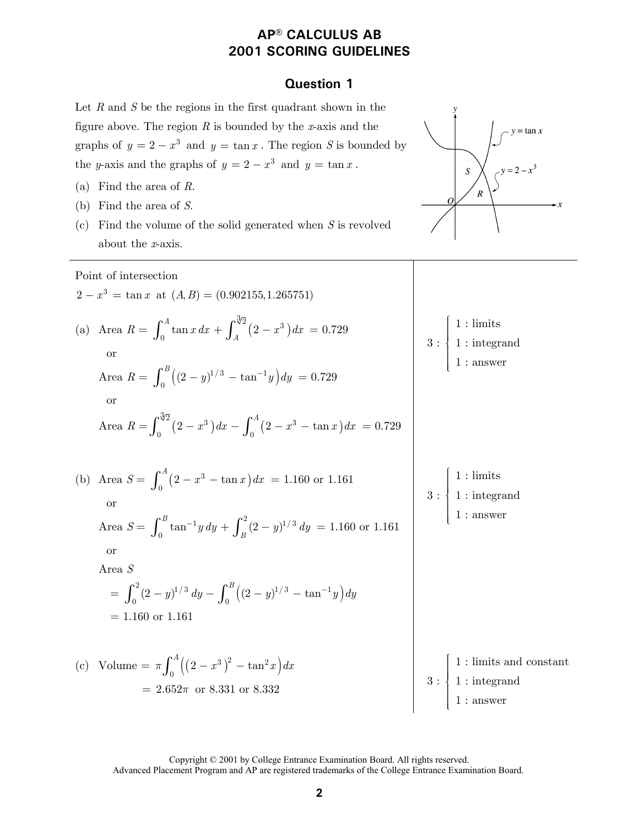### **Question 1**

Let *R* and *S* be the regions in the first quadrant shown in the figure above. The region *R* is bounded by the *x*-axis and the

graphs of  $y = 2 - x^3$  and  $y = \tan x$ . The region *S* is bounded by

the *y*-axis and the graphs of  $y = 2 - x^3$  and  $y = \tan x$ .  $S$ (a) Find the area of *R*.  $\cal R$ (b) Find the area of *S*.  $\cdot x$ (c) Find the volume of the solid generated when *S* is revolved about the *x*-axis. Point of intersection  $2 - x^3 = \tan x$  at  $(A, B) = (0.902155, 1.265751)$  $\begin{picture}(180,170)(-20,0) \put(0,0){\vector(1,0){10}} \put(1,0){\vector(1,0){10}} \put(1,0){\vector(1,0){10}} \put(1,0){\vector(1,0){10}} \put(1,0){\vector(1,0){10}} \put(1,0){\vector(1,0){10}} \put(1,0){\vector(1,0){10}} \put(1,0){\vector(1,0){10}} \put(1,0){\vector(1,0){10}} \put(1,0){\vector(1,0){10}} \put(1,0){\vector(1,0){10}} \put(1,0){\vector(1,0){$ (a) Area  $R = \int_{0}^{A} \tan x \, dx + \int_{1}^{\sqrt[3]{2}} (2 - x^3)$  $\int_0^A \tan x \, dx + \int_A^{\sqrt[3]{2}} (2 - x^3) \, dx = 0.729$  1 : limits 3 : 1 : integrand or 1 : answer  $\mathfrak{t}$  $\mathfrak l$ Area  $R = \int_0^B \left( (2 - y)^{1/3} - \tan^{-1} y \right) dy = 0.729$  or Area  $R = \int_{0}^{\sqrt[3]{2}} (2 - x^3) dx - \int_{0}^{A} (2 - x^3 - \tan x) dx$  $\int_0^{\sqrt[4]{2}} (2 - x^3) dx - \int_0^A (2 - x^3 - \tan x) dx = 0.729$  $\begin{picture}(180,170)(-20,0) \put(0,0){\vector(1,0){10}} \put(1,0){\vector(1,0){10}} \put(1,0){\vector(1,0){10}} \put(1,0){\vector(1,0){10}} \put(1,0){\vector(1,0){10}} \put(1,0){\vector(1,0){10}} \put(1,0){\vector(1,0){10}} \put(1,0){\vector(1,0){10}} \put(1,0){\vector(1,0){10}} \put(1,0){\vector(1,0){10}} \put(1,0){\vector(1,0){10}} \put(1,0){\vector(1,0){$  $\int_0^A (2 - x^3 - \tan x) dx = 1.160$  or 1.161 1 : limits (b) Area  $S = \int_{0}^{A} (2 - x^3 - \tan x)$ 3 : 1 : integrand or 1 : answer  $\mathfrak l$  $\mathfrak l$ Area  $S = \int_0^B \tan^{-1} y \, dy + \int_B^2 (2 - y)^{1/3} \, dy = 1.160$  or 1.161 or Area *S*  $= \int_0^2 (2-y)^{1/3} dy - \int_0^B ((2-y)^{1/3} - \tan^{-1}y) dy$  $= 1.160$  or 1.161  $\begin{picture}(20,17)(-20,0) \put(0,0){\vector(1,0){10}} \put(15,0){\vector(1,0){10}} \put(15,0){\vector(1,0){10}} \put(15,0){\vector(1,0){10}} \put(15,0){\vector(1,0){10}} \put(15,0){\vector(1,0){10}} \put(15,0){\vector(1,0){10}} \put(15,0){\vector(1,0){10}} \put(15,0){\vector(1,0){10}} \put(15,0){\vector(1,0){10}} \put(15,0){\vector(1,0){10}} \put(15,$ (c) Volume =  $\pi \int_0^A ((2 - x^3)^2 - \tan^2 x) dx$  1 : limits and constant 3 : 1 : integrand  $= 2.652\pi$  or 8.331 or 8.332 1 : answer  $\mathfrak{t}$  $\mathfrak l$ 

 Copyright © 2001 by College Entrance Examination Board. All rights reserved. Advanced Placement Program and AP are registered trademarks of the College Entrance Examination Board.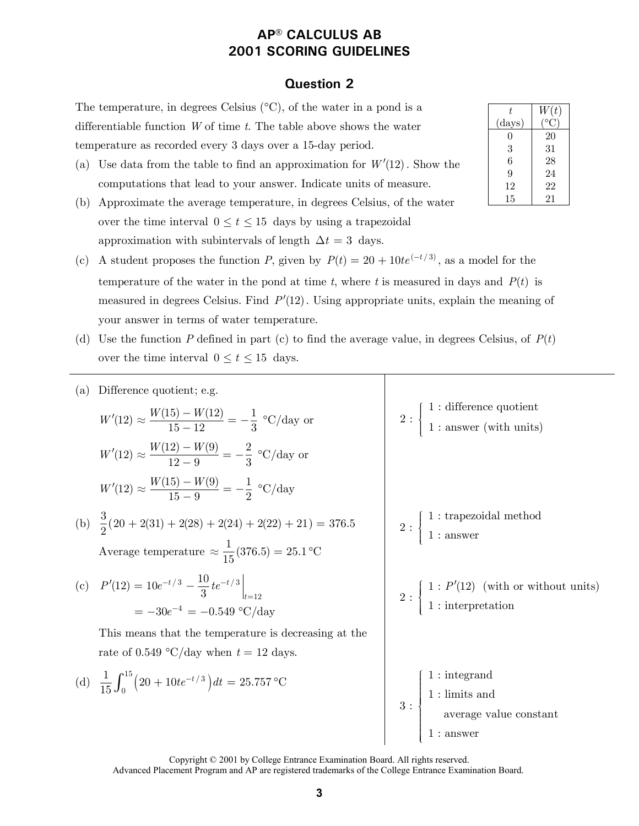### **Question 2**

The temperature, in degrees Celsius  $(°C)$ , of the water in a pond is a differentiable function *W* of time *t*. The table above shows the water temperature as recorded every 3 days over a 15-day period.

- (a) Use data from the table to find an approximation for *W* (12). Show the computations that lead to your answer. Indicate units of measure.
- (b) Approximate the average temperature, in degrees Celsius, of the water over the time interval  $0 \le t \le 15$  days by using a trapezoidal approximation with subintervals of length  $\Delta t = 3$  days.
- (c) A student proposes the function *P*, given by  $P(t) = 20 + 10te^{(-t/3)}$ , as a model for the temperature of the water in the pond at time  $t$ , where  $t$  is measured in days and  $P(t)$  is measured in degrees Celsius. Find  $P'(12)$ . Using appropriate units, explain the meaning of your answer in terms of water temperature.
- (d) Use the function  $P$  defined in part (c) to find the average value, in degrees Celsius, of  $P(t)$ over the time interval  $0 \le t \le 15$  days.

(a) Difference quotient; e.g.  
\n
$$
W'(12) \approx \frac{W(15) - W(12)}{15 - 12} = -\frac{1}{3} {}^{\circ}\text{C/day or}
$$
\n
$$
W'(12) \approx \frac{W(12) - W(9)}{12 - 9} = -\frac{2}{3} {}^{\circ}\text{C/day or}
$$
\n
$$
W'(12) \approx \frac{W(15) - W(9)}{15 - 9} = -\frac{1}{2} {}^{\circ}\text{C/day or}
$$
\n(b)  $\frac{3}{2}(20 + 2(31) + 2(28) + 2(24) + 2(22) + 21) = 376.5$   
\nAverage temperature  $\approx \frac{1}{15}(376.5) = 25.1 {}^{\circ}\text{C}$   
\n(c)  $P'(12) = 10e^{-t/3} - \frac{10}{3}te^{-t/3}|_{t=12}$   
\n $= -30e^{-4} = -0.549 {}^{\circ}\text{C/day}$   
\nThis means that the temperature is decreasing at the rate of 0.549 {}^{\circ}\text{C/day when } t = 12 \text{ days.}  
\n(d)  $\frac{1}{15}\int_{0}^{15}(20 + 10te^{-t/3}) dt = 25.757 {}^{\circ}\text{C}$   
\n $\left.\begin{array}{c}\n1: \text{ integration} \\
1: \text{integral} \\
1: \text{initial} \\
1: \text{initial}\n\end{array}\right\}$ 

Copyright © 2001 by College Entrance Examination Board. All rights reserved.

| t.             | W(t) |
|----------------|------|
| ${\rm (days)}$ |      |
| 0              | 20   |
| 3              | 31   |
| 6              | 28   |
| 9              | 24   |
| 12             | 22   |
| 15             | 21   |

Advanced Placement Program and AP are registered trademarks of the College Entrance Examination Board.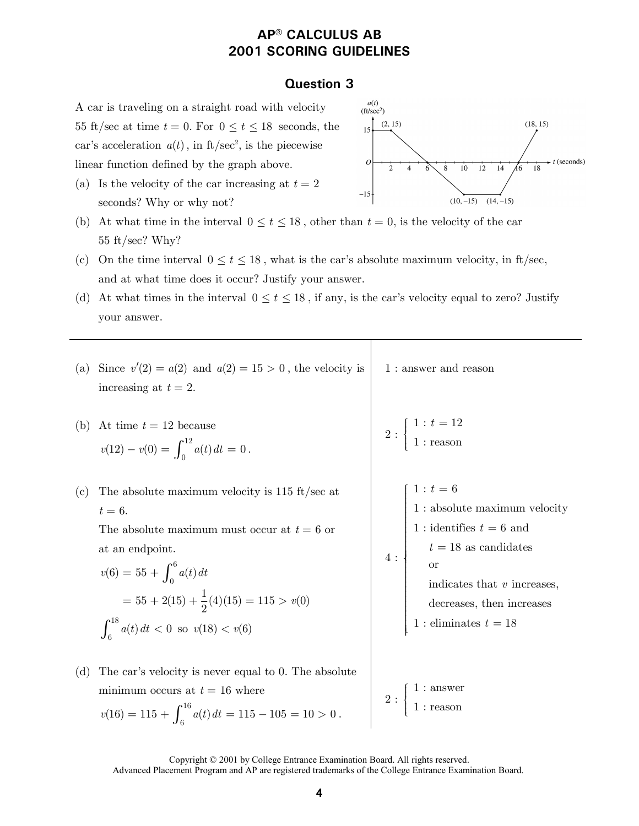### **Question 3**

A car is traveling on a straight road with velocity 55 ft/sec at time  $t = 0$ . For  $0 \le t \le 18$  seconds, the car's acceleration  $a(t)$ , in ft/sec<sup>2</sup>, is the piecewise linear function defined by the graph above.

(a) Is the velocity of the car increasing at  $t = 2$ seconds? Why or why not?



- (b) At what time in the interval  $0 \le t \le 18$ , other than  $t = 0$ , is the velocity of the car 55 ft/sec? Why?
- (c) On the time interval  $0 \le t \le 18$ , what is the car's absolute maximum velocity, in ft/sec, and at what time does it occur? Justify your answer.
- (d) At what times in the interval  $0 \le t \le 18$ , if any, is the car's velocity equal to zero? Justify your answer.

| (a) | Since $v'(2) = a(2)$ and $a(2) = 15 > 0$ , the velocity is<br>increasing at $t = 2$ .                                                                                                                                                                                        | $1:$ answer and reason                                                                                                                                                                                      |
|-----|------------------------------------------------------------------------------------------------------------------------------------------------------------------------------------------------------------------------------------------------------------------------------|-------------------------------------------------------------------------------------------------------------------------------------------------------------------------------------------------------------|
| (b) | At time $t = 12$ because<br>$v(12) - v(0) = \int_0^{12} a(t) dt = 0$ .                                                                                                                                                                                                       | 2 : $\begin{cases} 1 : t = 12 \\ 1 : \text{reason} \end{cases}$                                                                                                                                             |
| (c) | The absolute maximum velocity is $115 \text{ ft/sec at}$<br>$t=6$ .<br>The absolute maximum must occur at $t = 6$ or<br>at an endpoint.<br>$v(6) = 55 + \int_0^6 a(t) dt$<br>= $55 + 2(15) + \frac{1}{2}(4)(15) = 115 > v(0)$<br>$\int_6^{18} a(t) dt < 0$ so $v(18) < v(6)$ | $1 : t = 6$<br>$1$ : absolute maximum velocity<br>$1$ : identifies $t=\mathbf{6}$ and<br>$t=18$ as candidates or<br>indicates that $v$ increases,<br>decreases, then increases<br>$1$ : eliminates $t=18\,$ |
| (d) | The car's velocity is never equal to 0. The absolute<br>minimum occurs at $t = 16$ where<br>$v(16) = 115 + \int_{0}^{16} a(t) dt = 115 - 105 = 10 > 0$                                                                                                                       | $2:\begin{cases} 1:\text{answer} \\ 1:\text{reason} \end{cases}$                                                                                                                                            |

 Copyright © 2001 by College Entrance Examination Board. All rights reserved. Advanced Placement Program and AP are registered trademarks of the College Entrance Examination Board.

 $v(16) = 115 + \int_6^{16} a(t) dt = 115 - 105 = 10 > 0.$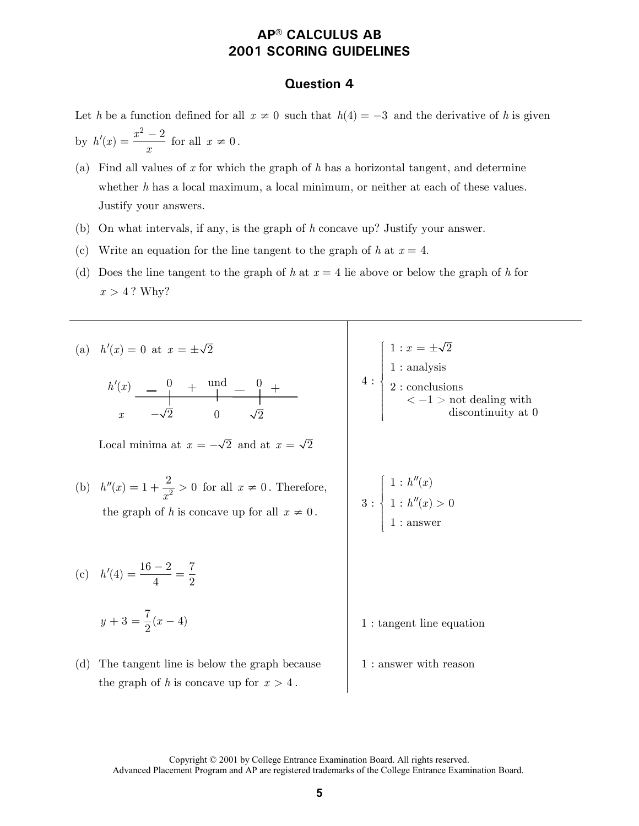### **Question 4**

Let *h* be a function defined for all  $x \neq 0$  such that  $h(4) = -3$  and the derivative of *h* is given by  $h'(x) = \frac{x^2 - 2}{x}$  $f'(x) = \frac{x^2 - 2}{x}$  for all  $x \neq 0$ .

- (a) Find all values of *x* for which the graph of *h* has a horizontal tangent, and determine whether *h* has a local maximum, a local minimum, or neither at each of these values. Justify your answers.
- (b) On what intervals, if any, is the graph of *h* concave up? Justify your answer.
- (c) Write an equation for the line tangent to the graph of  $h$  at  $x = 4$ .
- (d) Does the line tangent to the graph of *h* at  $x = 4$  lie above or below the graph of *h* for  $x > 4$ ? Why?

(a) 
$$
h'(x) = 0
$$
 at  $x = \pm \sqrt{2}$   
\n $h'(x) = 0 + \frac{\text{und}}{\sqrt{2}} + \frac{0}{\sqrt{2}} + \frac{\text{und}}{\sqrt{2}}$   
\n $x = -\sqrt{2}$  or  $\sqrt{2}$   
\n(b)  $h''(x) = 1 + \frac{2}{x^2} > 0$  for all  $x \neq 0$ . Therefore,  
\nthe graph of *h* is concave up for all  $x \neq 0$ .  
\n(c)  $h'(4) = \frac{16 - 2}{4} = \frac{7}{2}$   
\n(d) The tangent line is below the graph because  
\nthe graph of *h* is concave up for  $x > 4$ .  
\n(e)  $h'(4) = \frac{16 - 2}{4} = \frac{7}{2}$   
\n(f)  $h'(4) = \frac{16 - 2}{4} = \frac{7}{2}$   
\n(g)  $h'(4) = \frac{16 - 2}{4} = \frac{7}{2}$   
\n(h)  $h'(4) = \frac{16 - 2}{4} = \frac{7}{2}$   
\n(i)  $h'(4) = \frac{16 - 2}{4} = \frac{7}{2}$   
\n(j)  $1 : \text{ tangent line equation}$   
\n(k)  $1 : \text{ tangent line equation}$   
\n(l) The tangent line is below the graph because  
\n $1 : \text{ answer with reason}$   
\n $1 : \text{ answer with reason}$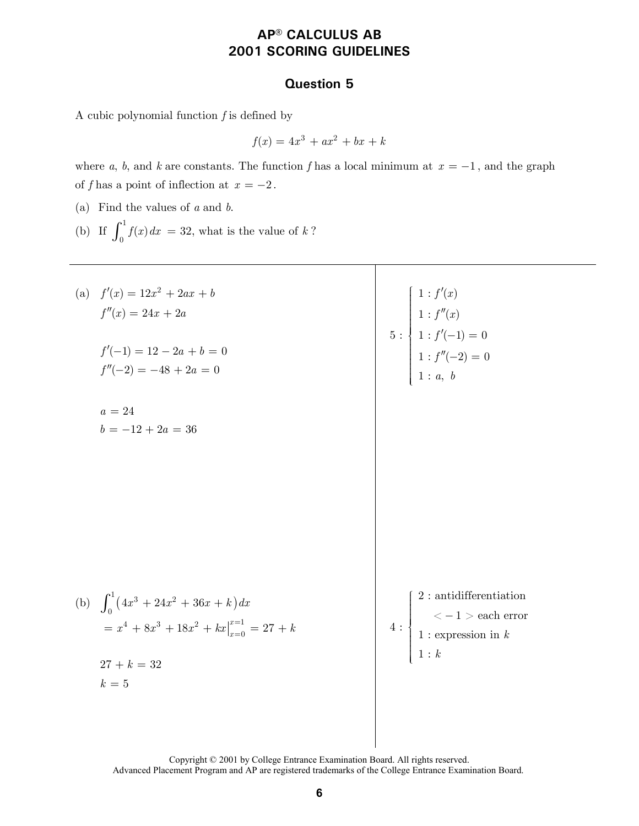### **Question 5**

A cubic polynomial function *f* is defined by

$$
f(x) = 4x^3 + ax^2 + bx + k
$$

where *a*, *b*, and *k* are constants. The function *f* has a local minimum at  $x = -1$ , and the graph of *f* has a point of inflection at  $x = -2$ .

(a) Find the values of *a* and *b*.

(b) If  $\int_0^1 f(x) dx = 32$ , what is the value of *k*?

| (a) $f'(x) = 12x^2 + 2ax + b$<br>$f''(x) = 24x + 2a$<br>$f'(-1) = 12 - 2a + b = 0$<br>$f''(-2) = -48 + 2a = 0$<br>$a=24$             | 5 : $\begin{cases} 1: f'(x) \\ 1: f''(x) \\ 1: f'(-1) = 0 \\ 1: f''(-2) = 0 \\ 1: a, b \end{cases}$                                                                                                                                                                                                                                                                                                                                                                                                                                    |
|--------------------------------------------------------------------------------------------------------------------------------------|----------------------------------------------------------------------------------------------------------------------------------------------------------------------------------------------------------------------------------------------------------------------------------------------------------------------------------------------------------------------------------------------------------------------------------------------------------------------------------------------------------------------------------------|
| $b = -12 + 2a = 36$                                                                                                                  |                                                                                                                                                                                                                                                                                                                                                                                                                                                                                                                                        |
| (b) $\int_0^1 (4x^3 + 24x^2 + 36x + k) dx$<br>$= x^{4} + 8x^{3} + 18x^{2} + kx \big _{x=0}^{x=1} = 27 + k$<br>$27 + k = 32$<br>$k=5$ | $2:$ antidifferentiation<br>$4: \begin{cases} \begin{array}{c} \text{---} \end{array} \ \text{---} \ \text{---} \ \text{---} \ \text{---} \ \text{---} \ \text{---} \ \text{---} \ \text{---} \ \text{---} \ \text{---} \ \text{---} \ \text{---} \ \text{---} \ \text{---} \ \text{---} \ \text{---} \ \text{---} \ \text{---} \ \text{---} \ \text{---} \ \text{---} \ \text{---} \ \text{---} \ \text{---} \ \text{---} \ \text{---} \ \text{---} \ \text{---} \ \text{---} \ \text{---} \ \text{---} \ \text{---} \ \text{$<br>1:k |

 Copyright © 2001 by College Entrance Examination Board. All rights reserved. Advanced Placement Program and AP are registered trademarks of the College Entrance Examination Board.